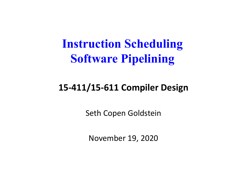#### **Instruction Scheduling Software Pipelining**

#### **15‐411/15‐611 Compiler Design**

Seth Copen Goldstein

November 19, 2020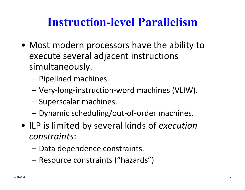#### **Instruction-level Parallelism**

- Most modern processors have the ability to execute several adjacent instructions simultaneously.
	- Pipelined machines.
	- –Very ‐long ‐instruction ‐word machines (VLIW).
	- –Superscalar machines.
	- Dynamic scheduling/out-of-order machines.
- ILP is limited by several kinds of *execution constraints*:
	- Data dependence constraints.
	- Resource constraints ("hazards")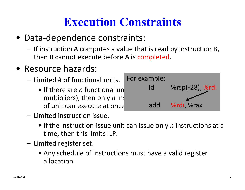# **Execution Constraints**

- Data ‐dependence constraints:
	- If instruction A computes a value that is read by instruction B, then B cannot execute before A is completed.
- Resource hazards:
	- $-$  Limited # of functional units.
		- If there are *n* functional units of of unit can execute at once.



- Limited instruction issue.
	- If the instruction-issue unit can issue only *n* instructions at a time, then this limits ILP.
- Limited register set.
	- Any schedule of instructions must have a valid register allocation.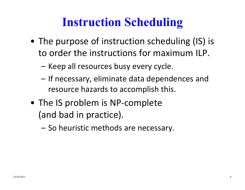# **Instruction Scheduling**

- The purpose of instruction scheduling (IS) is to order the instructions for maximum ILP.
	- Keep all resources busy every cycle.
	- If necessary, eliminate data dependences and resource hazards to accomplish this.
- The IS problem is NP ‐complete (and bad in practice).
	- So heuristic methods are necessary.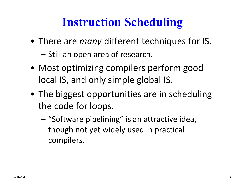# **Instruction Scheduling**

- There are *many* different techniques for IS.
	- Still an open area of research.
- Most optimizing compilers perform good local IS, and only simple global IS.
- The biggest opportunities are in scheduling the code for loops.
	- "Software pipelining" is an attractive idea, though not yet widely used in practical compilers.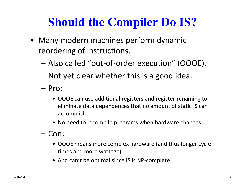# **Should the Compiler Do IS?**

- Many modern machines perform dynamic reordering of instructions.
	- Also called "out ‐of ‐order execution" (OOOE).
	- Not yet clear whether this is a good idea.
	- Pro:
		- OOOE can use additional registers and register renaming to eliminate data dependences that no amount of static IS can accomplish.
		- No need to recompile programs when hardware changes.
	- Con:
		- OOOE means more complex hardware (and thus longer cycle times and more wattage).
		- And can't be optimal since IS is NP-complete.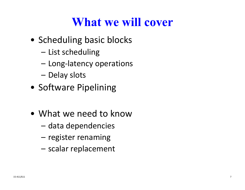#### **What we will cover**

- Scheduling basic blocks
	- List scheduling
	- –Long ‐latency operations
	- Delay slots
- Software Pipelining
- What we need to know
	- data dependencies
	- –register renaming
	- scalar replacement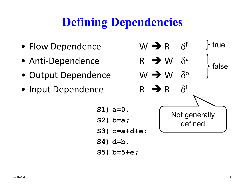# **Defining Dependencies**

- Flow Dependence W
- Anti ‐Dependence R
- Output Dependence W
- Input Dependence R

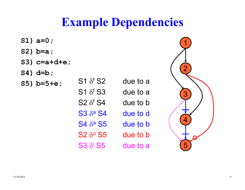#### **Example Dependencies**

- **S1) a=0;**
- **S2) b=a;**
- **S3) c=a+d+e;**
- **S4) d=b;**
- **S5) b=5+e**;

 $\delta^{\mathsf{f}}$  ${\mathsf S}1$   $\delta^{\mathsf f}$  ${\mathsf S2}\ \delta^{\mathsf f}$  ${\mathsf S3}\;{\delta^{\mathsf a}}$  ${\mathsf S4}\ \delta$ a ${\mathsf S2}$   $\delta^{\mathsf{o}}$  $S3 \delta^{i} S5$  due to a due to a due to b due to d due to b due to b due to a

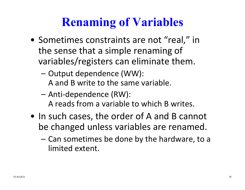# **Renaming of Variables**

- Sometimes constraints are not "real," in the sense that a simple renaming of variables/registers can eliminate them.
	- – Output dependence (WW): A and B write to the same variable.
	- Anti ‐dependence (RW): A reads from a variable to which B writes.
- In such cases, the order of A and B cannot be changed unless variables are renamed.
	- Can sometimes be done by the hardware, to a limited extent.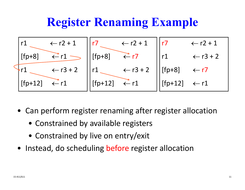#### **Register Renaming Example**



- Can perform register renaming after register allocation
	- Constrained by available registers
	- Constrained by live on entry/exit
- Instead, do scheduling before register allocation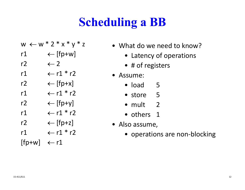# **Scheduling a BB**

- w ← w \* 2 \* x \* y \* z
- r1 [fp+w]
- $r2$ 2  $\leftarrow$  2
- r11  $\leftarrow$  r1  $*$  r2
- r2 [fp+x]
- r $1 \qquad \leftarrow$  r $1$  \* r $2$
- r2 [fp+y]
- r $1 \qquad \leftarrow$  $\leftarrow$  r1 \* r2
- r2 [fp+z]
- r11  $\leftarrow$  r1  $*$  r2

 $[fp+w] \leftarrow r1$ 

- What do we need to know?
	- Latency of operations
	- # of registers
- Assume:
	- load 5
	- store 5
	- mult 2
	- others 1
- Also assume,
	- operations are non‐blocking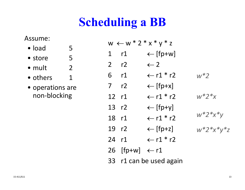# **Scheduling a BB**

Assume:

- load 55
- store 5
- $\bullet$  mult  $\qquad \quad \ \ \, 2$
- $\bullet$  others  $\qquad \quad \, 1$
- operations are non ‐blocking

|                | $w \leftarrow w * 2 * x * y * z$ |                         |                 |  |  |  |  |  |  |  |  |
|----------------|----------------------------------|-------------------------|-----------------|--|--|--|--|--|--|--|--|
| $\mathbf 1$    | r1                               | $\leftarrow$ [fp+w]     |                 |  |  |  |  |  |  |  |  |
| 2 r2           |                                  | $\leftarrow$ 2          |                 |  |  |  |  |  |  |  |  |
| $6$ $r1$       |                                  | $\leftarrow$ r1 * r2    | $w^*2$          |  |  |  |  |  |  |  |  |
| $\overline{7}$ | r2                               | $\leftarrow$ [fp+x]     |                 |  |  |  |  |  |  |  |  |
| 12 r1          |                                  | $\leftarrow$ r1 * r2    | $w^*2^*x$       |  |  |  |  |  |  |  |  |
| 13 r2          |                                  | $\leftarrow$ [fp+y]     |                 |  |  |  |  |  |  |  |  |
| 18 r1          |                                  | $\leftarrow$ r1 * r2    | $w * 2 * x * y$ |  |  |  |  |  |  |  |  |
| 19 r2          |                                  | $\leftarrow$ [fp+z]     | $w^*2^*x^*y^*z$ |  |  |  |  |  |  |  |  |
| 24             | r1                               | $\leftarrow$ r1 * r2    |                 |  |  |  |  |  |  |  |  |
|                | 26 [fp+w] $\leftarrow$ r1        |                         |                 |  |  |  |  |  |  |  |  |
|                |                                  | 33 r1 can be used again |                 |  |  |  |  |  |  |  |  |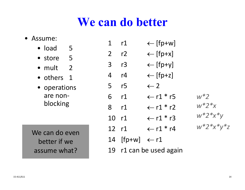#### **We can do better**

#### • Assume:

- load 5
- store 5
- mult 2
- others 1
- operations are non ‐ blocking

We can do even better if we assume what?

| 1                | r1                     | $\leftarrow$ [fp+w]    |                 |
|------------------|------------------------|------------------------|-----------------|
| $\overline{2}$   | r2                     | $\leftarrow$ [fp+x]    |                 |
| 3                | r3                     | $\leftarrow$ [fp+y]    |                 |
| $\boldsymbol{4}$ | r4                     | $\leftarrow$ [fp+z]    |                 |
| 5                | r5                     | $\leftarrow$ 2         |                 |
| 6                | r1                     | $\leftarrow$ r1 $*$ r5 | $w*2$           |
| 8                | r1                     | $\leftarrow$ r1 * r2   | $w^*2^*x$       |
| 10               | r1                     | $\leftarrow$ r1 $*$ r3 | $w^*2^*x^*y$    |
| 12               | r1                     | $\leftarrow$ r1 * r4   | $w^*2^*x^*y^*z$ |
| 14               | $[fp+w] \leftarrow r1$ |                        |                 |
| 19               |                        | r1 can be used again   |                 |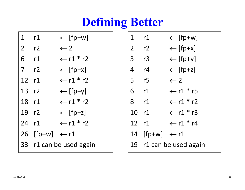# **Defining Better**

| 1     | r1                        | $\leftarrow$ [fp+w]     | $1$ $r1$       |                           | $\leftarrow$ [fp+w]     |
|-------|---------------------------|-------------------------|----------------|---------------------------|-------------------------|
| 2 r2  |                           | $\leftarrow$ 2          | 2 <sup>7</sup> | r2                        | $\leftarrow$ [fp+x]     |
| 6     | r1                        | $\leftarrow$ r1 * r2    | 3              | r3                        | $\leftarrow$ [fp+y]     |
| 7 r2  |                           | $\leftarrow$ [fp+x]     | $\overline{4}$ | r4                        | $\leftarrow$ [fp+z]     |
| 12 r1 |                           | $\leftarrow$ r1 * r2    | 5 <sup>7</sup> | r <sub>5</sub>            | $\leftarrow$ 2          |
| 13 r2 |                           | $\leftarrow$ [fp+y]     |                | $6$ $r1$                  | $\leftarrow$ r1 * r5    |
| 18 r1 |                           | $\leftarrow$ r1 * r2    |                | 8 r1                      | $\leftarrow$ r1 * r2    |
| 19 r2 |                           | $\leftarrow$ [fp+z]     |                | 10 r1                     | $\leftarrow$ r1 * r3    |
| 24 r1 |                           | $\leftarrow$ r1 * r2    |                | 12 r1                     | $\leftarrow$ r1 $^*$ r4 |
|       | 26 [fp+w] $\leftarrow$ r1 |                         |                | 14 [fp+w] $\leftarrow$ r1 |                         |
|       |                           | 33 r1 can be used again |                |                           | 19 r1 can be used again |
|       |                           |                         |                |                           |                         |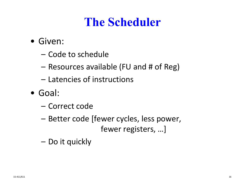### **The Scheduler**

- Given:
	- Code to schedule
	- Resources available (FU and # of Reg)
	- Latencies of instructions
- Goal:
	- Correct code
	- Better code [fewer cycles, less power, fewer registers, …]
	- Do it quickly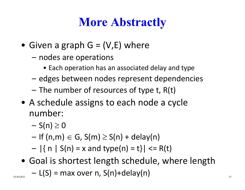# **More Abstractly**

- Given <sup>a</sup> graph G <sup>=</sup> (V,E) where
	- nodes are operations
		- Each operation has an associated delay and type
	- –edges between nodes represent dependencies
	- The number of resources of type t, R(t)
- A schedule assigns to each node <sup>a</sup> cycle number:
	- $S(n) \geq 0$
	- $-$  If (n,m)  $\in$  G, S(m)  $\geq$  S(n) + delay(n)
	- $|\{ n | S(n) = x \text{ and type}(n) = t \}|$  <= R(t)
- Goal is shortest length schedule, where length – $L(S) = max over n, S(n)+delay(n)$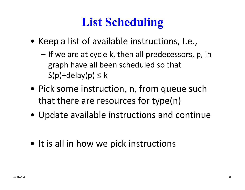# **List Scheduling**

- Keep <sup>a</sup> list of available instructions, I.e.,
	- If we are at cycle k, then all predecessors, p, in graph have all been scheduled so that  $S(p)$ +delay(p)  $\leq k$
- Pick some instruction, n, from queue such that there are resources for type(n)
- Update available instructions and continue
- It is all in how we pick instructions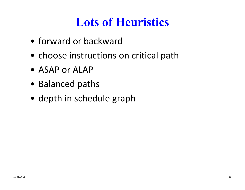# **Lots of Heuristics**

- forward or backward
- choose instructions on critical path
- ASAP or ALAP
- Balanced paths
- depth in schedule graph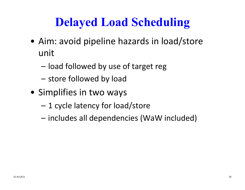#### **Delayed Load Scheduling**

- Aim: avoid pipeline hazards in load/store unit
	- load followed by use of target reg
	- store followed by load
- Simplifies in two ways
	- 1 cycle latency for load/store
	- includes all dependencies (WaW included)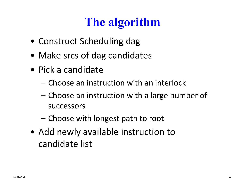# **The algorithm**

- Construct Scheduling dag
- Make srcs of dag candidates
- Pick a candidate
	- Choose an instruction with an interlock
	- Choose an instruction with <sup>a</sup> large number of successors
	- Choose with longest path to root
- Add newly available instruction to candidate list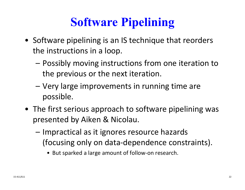# **Software Pipelining**

- Software pipelining is an IS technique that reorders the instructions in <sup>a</sup> loop.
	- – Possibly moving instructions from one iteration to the previous or the next iteration.
	- Very large improvements in running time are possible.
- The first serious approach to software pipelining was presented by Aiken & Nicolau.
	- Impractical as it ignores resource hazards (focusing only on data‐dependence constraints).
		- But sparked <sup>a</sup> large amount of follow‐on research.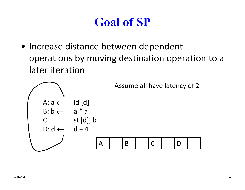# **Goal of SP**

• Increase distance between dependent operations by moving destination operation to <sup>a</sup> later iteration

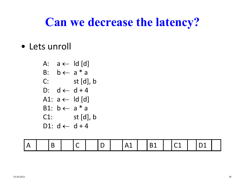#### **Can we decrease the latency?**

• Lets unroll

A: 
$$
a \leftarrow \text{Id} \text{ [d]}
$$
  
\nB:  $b \leftarrow a \cdot a$   
\nC:  $st \text{ [d], } b$   
\nD:  $d \leftarrow d + 4$   
\nA1:  $a \leftarrow \text{ Id} \text{ [d]}$   
\nB1:  $b \leftarrow a \cdot a$   
\nC1:  $st \text{ [d], } b$   
\nD1:  $d \leftarrow d + 4$ 

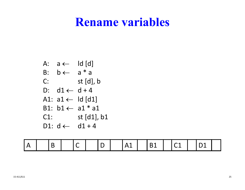#### **Rename variables**

A: 
$$
a \leftarrow \text{Id}[d]
$$
  
\nB:  $b \leftarrow a \cdot a$   
\nC:  $st[d], b$   
\nD:  $d1 \leftarrow d + 4$   
\nA1:  $a1 \leftarrow \text{Id}[d1]$   
\nB1:  $b1 \leftarrow a1 \cdot a1$   
\nC1:  $st[d1], b1$   
\nD1:  $d \leftarrow d1 + 4$ 

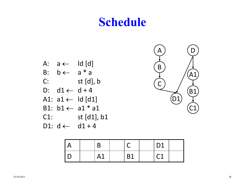#### **Schedule**





|  |    |           | D <sub>1</sub> |  |
|--|----|-----------|----------------|--|
|  | A1 | <b>B1</b> | r 1<br>ゝよ      |  |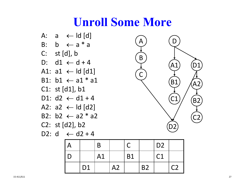#### **Unroll Some More**



|                |    |    |           |           | D <sub>2</sub> |                |
|----------------|----|----|-----------|-----------|----------------|----------------|
|                | A1 |    | <b>B1</b> |           | C1             |                |
| D <sub>1</sub> |    | A2 |           | <b>B2</b> |                | C <sub>2</sub> |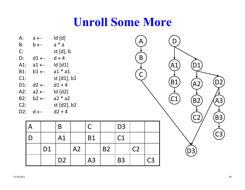#### **Unroll Some More**

| А:  | a $\leftarrow$          | ld [d]      |
|-----|-------------------------|-------------|
| B:  | $\mathsf{b} \leftarrow$ | a * a       |
| C:  |                         | st [d], b   |
| D:  | d1 $\leftarrow$         | $d + 4$     |
| A1: | a1 $\leftarrow$         | ld [d1]     |
| B1: | b1 $\leftarrow$         | $a1 * a1$   |
| C1: |                         | st [d1], b1 |
| D1: | d2 $\leftarrow$         | d1 + 4      |
| A2: | a2 $\leftarrow$         | ld [d2]     |
| B2: | $b2 \leftarrow$         | a2 * a2     |
| C2: |                         | st [d2], b2 |
| D2: | $\rightarrow$ b         | $d2 + 4$    |

|                | B              |    |                |           | D <sub>3</sub> |                |                |
|----------------|----------------|----|----------------|-----------|----------------|----------------|----------------|
|                | A1             |    | <b>B1</b>      |           | C1             |                |                |
| D <sub>1</sub> |                | A2 |                | <b>B2</b> |                | C <sub>2</sub> |                |
|                | D <sub>2</sub> |    | A <sub>3</sub> |           | <b>B3</b>      |                | C <sub>3</sub> |

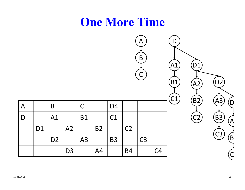

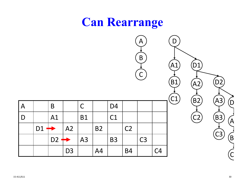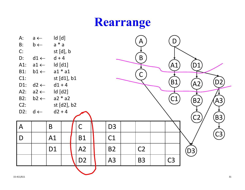#### **Rearrange**

| A:             | $a \leftarrow$                                                   | Id [d]                          |             |                |  |                |  | A              |  | D              |                        |
|----------------|------------------------------------------------------------------|---------------------------------|-------------|----------------|--|----------------|--|----------------|--|----------------|------------------------|
| $B$ :          | $b \leftarrow$                                                   | $a * a$                         |             |                |  |                |  |                |  |                |                        |
| C:             |                                                                  |                                 | st [d], b   |                |  |                |  |                |  |                |                        |
| D:             | $d1 \leftarrow$                                                  | $d + 4$                         |             |                |  |                |  | B              |  |                |                        |
| $A1$ :         | $a1 \leftarrow$                                                  | Id [d1]                         |             |                |  |                |  |                |  | $\mathsf{A}1$  | D <sub>1</sub>         |
| <b>B1:</b>     | $b1 \leftarrow$                                                  |                                 | $a1 * a1$   |                |  |                |  |                |  |                |                        |
| $C1$ :         |                                                                  |                                 | st [d1], b1 |                |  |                |  | C              |  |                |                        |
| D1:            | D <sub>2</sub><br><b>B1</b><br>A2<br>$d1 + 4$<br>$d2 \leftarrow$ |                                 |             |                |  |                |  |                |  |                |                        |
| A2:            | $a2 \leftarrow$                                                  | Id [d2]                         |             |                |  |                |  |                |  |                |                        |
| <b>B2:</b>     | $b2 \leftarrow$                                                  | C1<br>$a2 * a2$<br>[AS]<br>(B2) |             |                |  |                |  |                |  |                |                        |
| $C2$ :         |                                                                  |                                 | st [d2], b2 |                |  |                |  |                |  |                |                        |
| $D2$ :         | $d \leftarrow$                                                   | $d2 + 4$                        |             |                |  |                |  |                |  |                |                        |
|                |                                                                  |                                 |             |                |  |                |  |                |  |                | (B3)<br>C <sub>2</sub> |
| $\overline{A}$ |                                                                  | $\overline{B}$                  |             | $\mathsf C$    |  | D <sub>3</sub> |  |                |  |                |                        |
| $\mathsf D$    |                                                                  | A1                              |             | <b>B1</b>      |  | C1             |  |                |  |                | C3                     |
|                |                                                                  |                                 |             |                |  |                |  |                |  |                |                        |
|                |                                                                  | D <sub>1</sub>                  |             | A2             |  | <b>B2</b>      |  | C <sub>2</sub> |  |                | (D3)                   |
|                |                                                                  |                                 |             | D <sub>2</sub> |  | A3             |  | <b>B3</b>      |  | C <sub>3</sub> |                        |
|                |                                                                  |                                 |             |                |  |                |  |                |  |                |                        |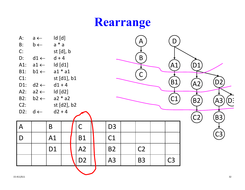#### **Rearrange**

| A:<br>$B$ :<br>C:<br>D:<br>$A1$ :<br><b>B1:</b><br>$C1$ :<br>D1:<br>A2: | $a \leftarrow$<br>$b \leftarrow$<br>$d1 \leftarrow$<br>$a1 \leftarrow$<br>$b1 \leftarrow$<br>$d2 \leftarrow$<br>$a2 \leftarrow$ |                 | Id [d]<br>$\boldsymbol{\mathsf{A}}$<br>$a * a$<br>st [d], b<br>$\pmb B$<br>$d + 4$<br>Id [d1]<br>$a1 * a1$<br>$\mathsf{C}$<br>st [d1], b1<br>$d1 + 4$<br>Id [d2] |                |  |                |  |                |  |                | D1<br>A <sub>2</sub> | D <sub>2</sub> |
|-------------------------------------------------------------------------|---------------------------------------------------------------------------------------------------------------------------------|-----------------|------------------------------------------------------------------------------------------------------------------------------------------------------------------|----------------|--|----------------|--|----------------|--|----------------|----------------------|----------------|
| <b>B2:</b>                                                              | $b2 \leftarrow$                                                                                                                 | $a2 * a2$<br>C1 |                                                                                                                                                                  |                |  |                |  |                |  | B2             | D:<br>A3             |                |
| $C2$ :<br>$D2$ :                                                        | $d \leftarrow$                                                                                                                  | $d2 + 4$        | st [d2], b2                                                                                                                                                      |                |  |                |  |                |  |                |                      |                |
|                                                                         |                                                                                                                                 |                 |                                                                                                                                                                  |                |  |                |  |                |  |                | C <sub>2</sub>       | (B3)           |
| $\overline{A}$                                                          |                                                                                                                                 | $\mathsf B$     |                                                                                                                                                                  | $\mathsf C$    |  | D <sub>3</sub> |  |                |  |                |                      |                |
| D                                                                       |                                                                                                                                 | A1              |                                                                                                                                                                  | <b>B1</b>      |  | C1             |  |                |  |                |                      | $\mathbb{C}3$  |
|                                                                         |                                                                                                                                 | D <sub>1</sub>  |                                                                                                                                                                  | A2             |  | <b>B2</b>      |  | C <sub>2</sub> |  |                |                      |                |
|                                                                         |                                                                                                                                 |                 |                                                                                                                                                                  | D <sub>2</sub> |  | A <sub>3</sub> |  | <b>B3</b>      |  | C <sub>3</sub> |                      |                |
|                                                                         |                                                                                                                                 |                 |                                                                                                                                                                  |                |  |                |  |                |  |                |                      |                |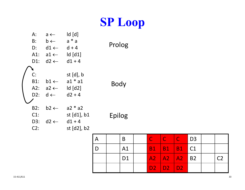#### **SP Loop**

| $A$ :<br>B:<br>D:<br>$A1$ :<br>$D1$ : | $a \leftarrow$<br>$\mathsf{b} \leftarrow$<br>$d1 \leftarrow$<br>$a1 \leftarrow$<br>$d2 \leftarrow$ | $\mathsf{Id}$ $\mathsf{Id}$<br>$a * a$<br>$d + 4$<br>$\mathsf{Id}$ $\lceil d1 \rceil$<br>$d1 + 4$ | Prolog |
|---------------------------------------|----------------------------------------------------------------------------------------------------|---------------------------------------------------------------------------------------------------|--------|
| C:<br>B1:<br>A2:<br>D2:               | $b1 \leftarrow$<br>$a2 \leftarrow$<br>$d \leftarrow$                                               | st $[d]$ , b<br>$a1 * a1$<br>$\mathsf{Id}$ $\mathsf{Id}$ 2<br>$d2 + 4$                            | Body   |
| B2:<br>$C1$ :<br>D3:<br>C2:           | $b2 \leftarrow$<br>$d2 \leftarrow$                                                                 | $a2 * a2$<br>st $[d1]$ , b1<br>$d1 + 4$<br>st [d2], b2                                            | Epilog |

|  | B              | <b>TILL</b> | $\mathsf{C}$ | C                            | $\overline{1}$ D3 |    |
|--|----------------|-------------|--------------|------------------------------|-------------------|----|
|  | A <sub>1</sub> | <b>B1</b>   |              | B1   B1   C1                 |                   |    |
|  | D <sub>1</sub> |             |              | $A2 \mid A2 \mid A2 \mid B2$ |                   | Γን |
|  |                | D2          | D2 D2        |                              |                   |    |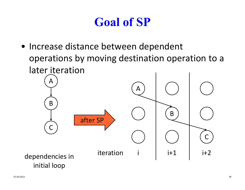# **Goal of SP**

• Increase distance between dependent operations by moving destination operation to <sup>a</sup> later iteration

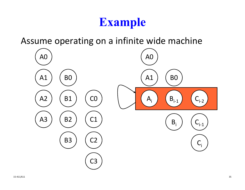#### **Example**

Assume operating on <sup>a</sup> infinite wide machine

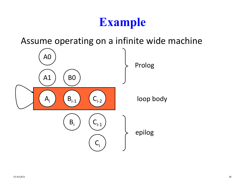#### **Example**

Assume operating on <sup>a</sup> infinite wide machine

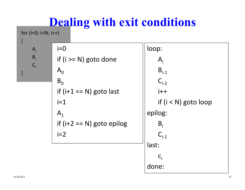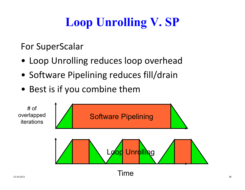# **Loop Unrolling V. SP**

For SuperScalar

- Loop Unrolling reduces loop overhead
- Software Pipelining reduces fill/drain
- Best is if you combine them

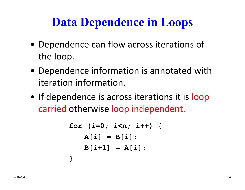# **Data Dependence in Loops**

- Dependence can flow across iterations of the loop.
- Dependence information is annotated with iteration information.
- If dependence is across iterations it is loop carried otherwise loop independent.

```
for (i=0; i<n; i++) {
   A[i] = B[i];
   B[i+1] = A[i];
}
```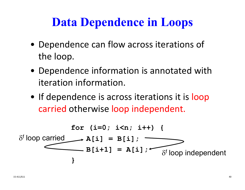## **Data Dependence in Loops**

- Dependence can flow across iterations of the loop.
- Dependence information is annotated with iteration information.
- If dependence is across iterations it is loop carried otherwise loop independent.

$$
\delta^{f} \text{loop carried} \longrightarrow A[i] = B[i];
$$
\n
$$
\delta^{f} \text{loop carried} \longrightarrow A[i] = A[i];
$$
\n
$$
\delta^{f} \text{loop independent}
$$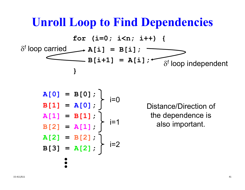#### **Unroll Loop to Find Dependencies**

$$
\text{for} \quad (i=0; \quad i< n; \quad i++) \quad \{ \\ \text{if loop carried} \longrightarrow A[i] = B[i]; \quad \text{if loop independent} \quad \}
$$

**A[0] = B[0];** i=0**B[1] = A[0]; A[1] = B[1];** i=1**B[2] = A[1]; A[2] = B[2];** i=2**B[3] = A[2];** 

Distance/Direction of the dependence is also important.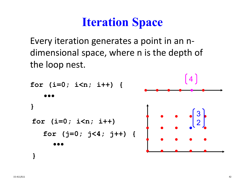#### **Iteration Space**

Every iteration generates <sup>a</sup> point in an <sup>n</sup>‐ dimensional space, where <sup>n</sup> is the depth of the loop nest.

```
for (i=0; i<n; i++) {
}
for (i=0; i<n; i++) 
   for (j=0; j<4; j++) {
}
```
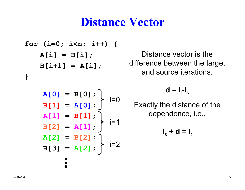#### **Distance Vector**

```
for (i=0; i<n; i++) {
   A[i] = B[i];
   B[i+1] = A[i];
}
```
Distance vector is the difference between the target and source iterations.

**A[0] = B[0]; B[1] = A[0]; A[1] = B[1]; B[2] = A[1]; A[2] = B[2]; B[3] = A[2];** i=0 i=1 i=2  $d = I_t-I_s$ 

Exactly the distance of the dependence, i.e.,

$$
\mathbf{I}_s + \mathbf{d} = \mathbf{I}_t
$$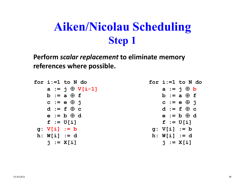**Perform** *scalar replacement* **to eliminate memory references where possible.**

|                | for i:=1 to N do                             |
|----------------|----------------------------------------------|
|                | $a := j \oplus V[i-1]$                       |
|                | $\mathbf{b} := \mathbf{a} \oplus \mathbf{f}$ |
|                | $c := e \oplus i$                            |
|                | $d := f \oplus c$                            |
|                | $e := b \oplus d$                            |
| $f := U[i]$    |                                              |
| $g: V[i] := b$ |                                              |
| $h: W[i] := d$ |                                              |
|                | $i := X[i]$                                  |

```
for i:=1 to N doa := i \oplus bb := a  f
    c := e  j
    d := f  c
    e := b  d
    f := U[i]
 g: V[i] := b
 h: W[i] := d
    j := X[i]
```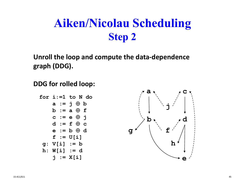**Unroll the loop and compute the data‐dependence graph (DDG).**

**DDG for rolled loop:**

**for i:=1 to N do** $a := j \oplus b$ **b := a f c := e j d := f c e := b d f := U[i] g: V[i] := b h: W[i] := d j := X[i]**

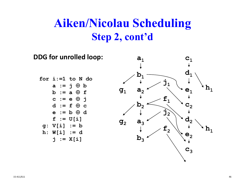#### **Aiken/Nicolau Scheduling Step 2, cont'd**

**DDG for unrolled loop: for i:=1 to N do** $a := j \oplus b$ **b := a f c := e j d := f c e := b d f := U[i] g: V[i] := b h: W[i] := d j := X[i]**  $a_1$ **b1** $\mathbf{C}_1$ **d1** $e<sub>1</sub>$ **j1** $\mathbf{f}_{1}$ **g1** $\mathbf{a}_2 \longrightarrow \mathbf{a}_1 \longrightarrow \mathbf{a}_1$  $\mathtt{b}_2$  $\mathbf{a}_3$  $\mathbf{b}_3$  $\mathbf{g}_{2}$  $\mathbf{j}_2^{\text{}}$  ${\tt f}_2$  $\mathbf{C}_2$ **d**<sub>2</sub>  ${\bf e}_{2}$  $\mathbf{h}_1$ **c3**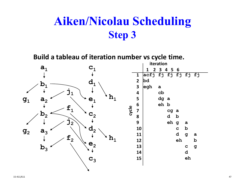**Build <sup>a</sup> tableau of iteration number vs cycle time.**

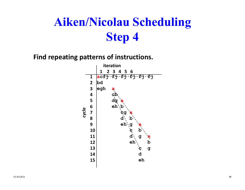**Find repeating patterns of instructions.**

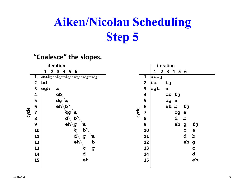#### **"Coalesce" the slopes. acfj bd fj egh a cb fj dg a eh b fj cg a d beh g fj c a d beh g cdehiteration 1 2 3 4 5 6 123456 789101112131415cycle acfj fj fj fj fj fj bd egh a**  $\mathbf{c}$ **dg a** eh\b **cg a d b**eh \  $\mathbf e$ d g `a eh b **c g dehiteration 1 2 3 4 5 6 123456 78 9 10111213 1415cycle**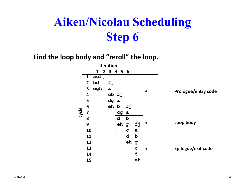**Find the loop body and "reroll" the loop.**

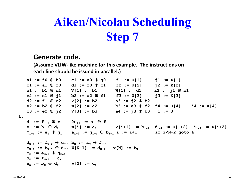#### **Generate code.**

**(Assume VLIW‐like machine for this example. The instructions on each line should be issued in parallel.)**

**a1** :=  $i0 \oplus b0$  **c1** :=  $e0 \oplus i0$  **f1** :=  $U[1]$  **i1** :=  $X[1]$  $\mathtt{bl} := \mathtt{al} \; \oplus \; \mathtt{f0} \qquad \mathtt{dl} := \mathtt{f0} \; \oplus \; \mathtt{c1} \qquad \mathtt{f2} := \mathtt{U[2]} \qquad \mathtt{j2} := \mathtt{X[2]}$ **e1 := b1 d1 V[1] := b1 W[1] := d1 a2 := j1 b1 c2 := e1 j1 b2 := a2 f1 f3 := U[3] j3 := X[3] d2 := f1 c2 V[2] := b2 a3 := j2 b2 e2 := b2 d2 W[2] := d2 b3 := a3 f2 f4 := U[4] j4 := X[4] c3 := e2 j2 V[3] := b3 a4 := j3 b3 i := 3 L:** $\mathbf{d}_{\mathbf{i}}$   $:=$   $\mathbf{f}_{\mathbf{i-1}}$   $\oplus$   $\mathbf{c}_{\mathbf{i}}$   $\qquad$   $\mathbf{b}_{\mathbf{i+1}}$   $:=$   $\mathbf{a}_{\mathbf{i}}$   $\oplus$   $\mathbf{f}_{\mathbf{i}}$  ${\bf e}_\mathtt{i} \ := \ {\bf b}_\mathtt{i} \ \ \oplus \ \ {\bf d}_\mathtt{i} \qquad \quad \mathsf{W}[\mathtt{i}] \ := \ {\bf d}_\mathtt{i} \qquad \qquad \mathsf{V}[\mathtt{i} \texttt{+}1] \ := \ {\bf b}_{\mathtt{i} \texttt{+}1} \quad \mathsf{f}_{\mathtt{i} \texttt{+}2} \ := \ \mathsf{U}[\mathtt{I} \texttt{+}2] \quad \mathtt{j}_{\mathtt{i} \texttt{+}2} \ := \ \mathsf{X}[\mathtt{i} \texttt{+}2]$ **ci+1 := ei ji ai+2 := ji+1 bi+1 i := i+1 if i<N-2 goto L**  $\mathbf{d_{N-1}}$   $:=$   $\mathbf{f_{N-2}}$   $\oplus$   $\mathbf{c_{N-1}}$   $\mathbf{b_{N}}$   $:=$   $\mathbf{a_{N}}$   $\oplus$   $\mathbf{f_{N-1}}$  $\mathbf{e_{N-1}}$  :=  $\mathbf{b_{N-1}}$   $\oplus$   $\mathbf{d_{N-1}}$   $\mathbf{W}[\text {N-1}]$  :=  $\mathbf{d_{N-1}}$   $\mathbf{v}[\text {N}]$  :=  $\mathbf{b_{N}}$  $\mathbf{c_{_N}}$   $:=$   $\mathbf{e_{_{N-1}}}$   $\oplus$   $\mathbf{j_{_{N-1}}}$  $\mathbf{d_{_{N}}}$   $:=$   $\mathbf{f_{_{N-1}}}$  +  $\mathbf{c_{_{N}}}$  $\mathbf{e}_\mathrm{N}$  :=  $\mathbf{b}_\mathrm{N}$   $\oplus$   $\mathbf{d}_\mathrm{N}$   $\qquad$   $\mathbf{w}[\mathrm{N}]$  :=  $\mathbf{d}_\mathrm{N}$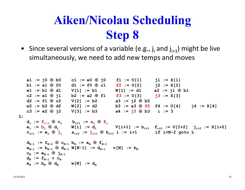• Since several versions of a variable (e.g.,  $j_{i}$  and  $j_{i+1}$ ) might be live simultaneously, we need to add new temps and moves

```
a1 := i0 \oplus b0 c1 := e0 \oplus j0 f1 := U[1] j1 := X[1]b1 := a1 \oplus f0 d1 := f0 \oplus c1 f2 := U[2] j2 := X[2]
      e1 := b1  d1 V[1] := b1 W[1] := d1 a2 := j1  b1
      c2 := e1 \oplus j1 b2 := a2 \oplus f1 f3 := U[3] j3 := X[3]d2 := f1  c2 V[2] := b2 a3 := j2  b2
      e2 := b2  d2 W[2] := d2 b3 := a3  f2 f4 := U[4] j4 := X[4]
      c3 := e2  j2 V[3] := b3 a4 := j3  b3 i := 3
L:\mathbf{d}_{\mathbf{i}} := \mathbf{f}_{\mathbf{i-1}} \oplus \mathbf{c}_{\mathbf{i}} \qquad \mathbf{b}_{\mathbf{i+1}} := \mathbf{a}_{\mathbf{i}} \oplus \mathbf{f}_{\mathbf{i}}{\bf e}_\mathtt{i} \ := \ {\bf b}_\mathtt{i} \ \ \oplus \ \ {\bf d}_\mathtt{i} \qquad \quad \mathsf{W}[\mathtt{i}] \ := \ {\bf d}_\mathtt{i} \qquad \qquad \mathsf{V}[\mathtt{i} \texttt{+}1] \ := \ {\bf b}_{\mathtt{i} \texttt{+}1} \quad \mathsf{f}_{\mathtt{i} \texttt{+}2} \ := \ \mathsf{U}[\mathtt{I} \texttt{+}2] \quad \mathtt{j}_{\mathtt{i} \texttt{+}2} \ := \ \mathsf{X}[\mathtt{i} \texttt{+}2]ci+1 := ei  ji ai+2 := ji+1  bi+1 i := i+1 if i<N-2 goto L
      \mathbf{d_{N-1}} := \mathbf{f_{N-2}} \oplus \mathbf{c_{N-1}} \mathbf{b_{N}} := \mathbf{a_{N}} \oplus \mathbf{f_{N-1}}\mathbf{e_{N-1}} := \mathbf{b_{N-1}} \oplus \mathbf{d_{N-1}} \mathbf{W}[\text {N-1}] := \mathbf{d_{N-1}} \mathbf{v}[\text {N}] := \mathbf{b_{N}}\mathbf{c_{_N}} := \mathbf{e_{_{N-1}}} \oplus \mathbf{j_{_{N-1}}}\mathbf{d_{_{N}}} := \mathbf{f_{_{N-1}}} + \mathbf{c_{_{N}}}\mathbf{e}_\mathrm{N} := \mathbf{b}_\mathrm{N} \oplus \mathbf{d}_\mathrm{N} \qquad \mathbf{w}[\mathrm{N}] := \mathbf{d}_\mathrm{N}
```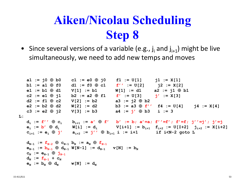• Since several versions of a variable (e.g.,  $j_{i}$  and  $j_{i+1}$ ) might be live simultaneously, we need to add new temps and moves

**a1** :=  $i0 \oplus b0$  **c1** :=  $e0 \oplus j0$  **f1** :=  $U[1]$  **j1** :=  $X[1]$  $\mathtt{bl} := \mathtt{al} \; \oplus \; \mathtt{f0} \qquad \mathtt{dl} := \mathtt{f0} \; \oplus \; \mathtt{cl} \qquad \mathtt{f}' \; := \mathtt{U[2]} \qquad \mathtt{j2} := \mathtt{X[2]}$ **e1 := b1 d1 V[1] := b1 W[1] := d1 a2 := j1 b1**  ${\tt c2 := e1 \oplus j1}$   ${\tt b2 := a2 \oplus f1}$   ${\tt f' := U[3]}$   ${\tt j' := X[3]}$ **d2 := f1 c2 V[2] := b2 a3 := j2 b2 e2 := b2 d2 W[2] := d2 b3 := a3 f'' f4 := U[4] j4 := X[4] c3 := e2 j2 V[3] := b3 a4 := j' b3 i := 3 L:di := f'' ci bi+1 := a' f' b' := b; a'=a; f''=f'; f'=f; j''=j'; j'=j**  ${\bf e}_\mathtt{i} \ := \ {\bf b'} \ \ \oplus \ {\bf d}_\mathtt{i} \qquad \quad \mathtt{W}[\mathtt{i}] \ := \ {\bf d}_\mathtt{i} \qquad \qquad \mathtt{V}[\mathtt{i+1}] \ := \ {\bf b}_{\mathtt{i+1}} \quad \mathtt{f}_{\mathtt{i+2}} \ := \ \mathtt{U}[\mathtt{I+2}] \quad \mathtt{j}_{\mathtt{i+2}} \ := \ \mathtt{X}[\mathtt{i+2}]$ **ci+1 := ei j' ai+2 := j'' bi+1 i := i+1 if i<N-2 goto L**  $\mathbf{d_{N-1}}$   $:=$   $\mathbf{f_{N-2}}$   $\oplus$   $\mathbf{c_{N-1}}$   $\mathbf{b_{N}}$   $:=$   $\mathbf{a_{N}}$   $\oplus$   $\mathbf{f_{N-1}}$  $\mathbf{e_{N-1}}$  :=  $\mathbf{b_{N-1}}$   $\oplus$   $\mathbf{d_{N-1}}$   $\mathbf{W}[\text {N-1}]$  :=  $\mathbf{d_{N-1}}$   $\mathbf{v}[\text {N}]$  :=  $\mathbf{b_{N}}$  $\mathbf{c_{_N}}$   $:=$   $\mathbf{e_{_{N-1}}}\;\oplus\; \mathbf{j_{_{N-1}}}$  $\mathbf{d}^{}_{\tiny \text{N}}$   $:=$   $\mathbf{f}^{}_{\tiny \text{N-1}}$  +  $\mathbf{c}^{}_{\tiny \text{N}}$  $\mathbf{e}_\mathrm{N}$  :=  $\mathbf{b}_\mathrm{N}$   $\oplus$   $\mathbf{d}_\mathrm{N}$   $\qquad$   $\mathbf{w}[\mathrm{N}]$  :=  $\mathbf{d}_\mathrm{N}$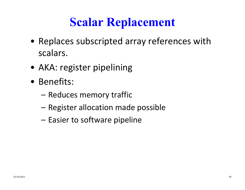#### **Scalar Replacement**

- Replaces subscripted array references with scalars.
- AKA: register pipelining
- Benefits:
	- Reduces memory traffic
	- –Register allocation made possible
	- Easier to software pipeline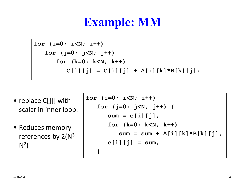#### **Example: MM**

```
for (i=0; i<N; i++) 
   for (j=0; j<N; j++)
      for (k=0; k<N; k++)
         C[i][j] = C[i][j] + A[i][k]*B[k][j];
```
- replace C[][] with scalar in inner loop.
- Reduces memory references by 2(N<sup>3</sup>- $N^2$

```
for (i=0; i<N; i++) 
   for (j=0; j<N; j++) {
      sum = c[i][j];for (k=0; k<N; k++)
         sum = sum + A[i][k]*B[k][j];c[i][j] = sum;
   }
```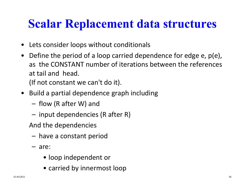#### **Scalar Replacement data structures**

- Lets consider loops without conditionals
- $\bullet$  Define the period of <sup>a</sup> loop carried dependence for edge e, p(e), as the CONSTANT number of iterations between the references at tail and head. (If not constant we can't do it).
- Build <sup>a</sup> partial dependence graph including
	- flow (R after W) and
	- –input dependencies (R after R)
	- And the dependencies
		- have <sup>a</sup> constant period
	- are:
		- loop independent or
		- carried by innermost loop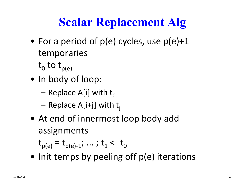# **Scalar Replacement Alg**

- $\bullet\,$  For a period of p(e) cycles, use p(e)+1 temporaries
	- $\bm{{\mathsf{t}}}_{\mathsf{0}}$  to  $\bm{{\mathsf{t}}}_{\mathsf{p(e)}}$
- In body of loop:
	- –Replace A[i] with  $t_0$
	- –Replace A[i+j] with  $t_j$
- At end of innermost loop body add assignments

 $t_{p(e)} = t_{p(e)-1}; \dots; t_1 < t_0$ 

• Init temps by peeling off p(e) iterations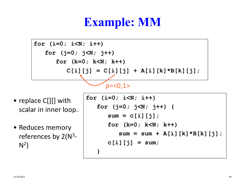#### **Example: MM**

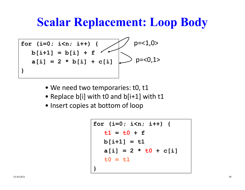#### **Scalar Replacement: Loop Body**



- We need two temporaries: t0, t1
- Replace b[i] with t0 and b[i+1] with t1
- Insert copies at bottom of loop

```
for (i=0; i<n; i++) {
   t1 = t0 + f
  b[i+1] = t1
   a[i] = 2 * t0 + c[i]t0 = t1}
```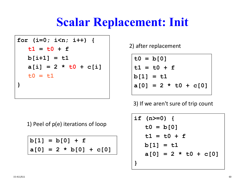#### **Scalar Replacement: Init**

```
for (i=0; i<n; i++) {
   t1 = t0 + f
  b[i+1] = t1
   a[i] = 2 * t0 + c[i]t0 = t1
}
```
2) after replacement

**t0 = b[0] t1 = t0 + fb[1] = t1 a[0] = 2 \* t0 + c[0]**

3) If we aren't sure of trip count

1) Peel of p(e) iterations of loop

**b[1] = b[0] + f a[0] = 2 \* b[0] + c[0]**

$$
\begin{array}{|cccc|}\n\text{if (n>=0) {}}\\
\text{t0 = b[0]}\\
\text{t1 = t0 + f}\\
\text{b[1] = t1}\\
\text{a[0] = 2 * t0 + c[0]}\\
\end{array}
$$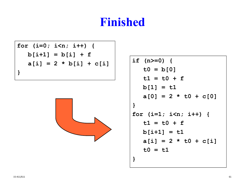#### **Finished**

**for (i=0; i<n; i++) { b[i+1] = b[i] + f a[i] = 2 \* b[i] + c[i] }**



```
if (n>=0) {
   t0 = b[0]
   t1 = t0 + f
  b[1] = t1
   a[0] = 2 * t0 + c[0]
}
for (i=1; i<n; i++) {
   t1 = t0 + f
  b[i+1] = t1
   a[i] = 2 * t0 + c[i]t0 = t1
}
```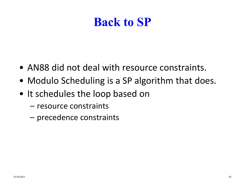#### **Back to SP**

- AN88 did not deal with resource constraints.
- Modulo Scheduling is <sup>a</sup> SP algorithm that does.
- It schedules the loop based on
	- resource constraints
	- precedence constraints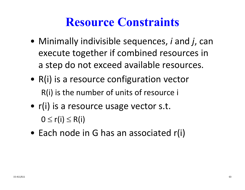#### **Resource Constraints**

- Minimally indivisible sequences, *i* and *j*, can execute together if combined resources in a step do not exceed available resources.
- R(i) is <sup>a</sup> resource configuration vector R(i) is the number of units of resource i
- r(i) is <sup>a</sup> resource usage vector s.t.  $0 \leq r(i) \leq R(i)$
- Each node in G has an associated r(i)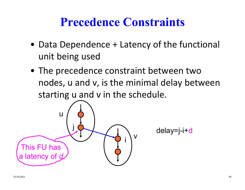#### **Precedence Constraints**

- Data Dependence <sup>+</sup> Latency of the functional unit being used
- The precedence constraint between two nodes, <sup>u</sup> and v, is the minimal delay between starting <sup>u</sup> and <sup>v</sup> in the schedule.



delay=j-i+d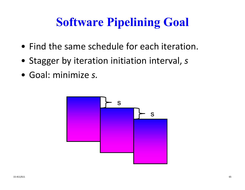# **Software Pipelining Goal**

- Find the same schedule for each iteration.
- Stagger by iteration initiation interval, *<sup>s</sup>*
- Goal: minimize *s.*

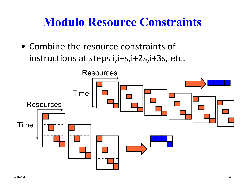#### **Modulo Resource Constraints**

• Combine the resource constraints of instructions at steps i,i+s,i+2s,i+3s, etc.

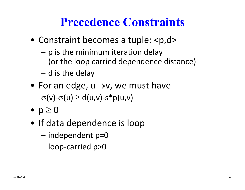#### **Precedence Constraints**

- Constraint becomes a tuple: <p,d>
	- – p is the minimum iteration delay (or the loop carried dependence distance)
	- d is the delay
- For an edge, u $\rightarrow$ v, we must have  $\sigma(v)$ - $\sigma(u) \geq d(u,v)$ -s\*p(u,v)
- $\bullet$  p  $\geq$   $0$
- If data dependence is loop
	- –independent p=0
	- –loop‐carried p>0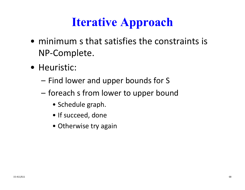## **Iterative Approach**

- minimum <sup>s</sup> that satisfies the constraints is NP‐Complete.
- Heuristic:
	- Find lower and upper bounds for S
	- foreach <sup>s</sup> from lower to upper bound
		- Schedule graph.
		- If succeed, done
		- Otherwise try again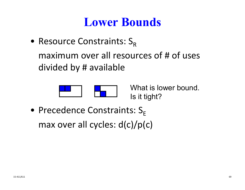#### **Lower Bounds**

• Resource Constraints:  $S_R$ maximum over all resources of # of uses divided by # available



What is lower bound. Is it tight?

 $\bullet\,$  Precedence Constraints:  $\mathsf{S}_{\mathsf{E}}$ max over all cycles: d(c)/p(c)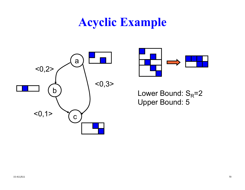#### **Acyclic Example**





Lower Bound:  $S_R = 2$ Upper Bound: 5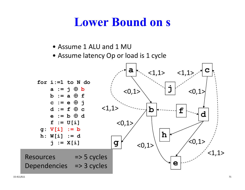#### **Lower Bound on s**

- Assume 1 ALU and 1 MU
- Assume latency Op or load is 1 cycle

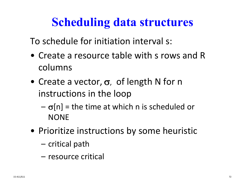#### **Scheduling data structures**

To schedule for initiation interval s:

- Create <sup>a</sup> resource table with <sup>s</sup> rows and Rcolumns
- Create a vector,  $\sigma$ , of length N for n instructions in the loop
	- – $\overline{\mathsf{p}}$   $\sigma$ [n] = the time at which n is scheduled or **NONE**
- Prioritize instructions by some heuristic
	- critical path
	- resource critical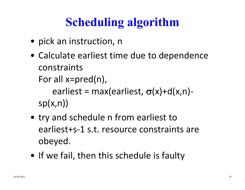# **Scheduling algorithm**

- pick an instruction, <sup>n</sup>
- Calculate earliest time due to dependence constraintsFor all x=pred(n),

earliest = max(earliest,  $\sigma$ (x)+d(x,n) $sp(x,n)$ 

- try and schedule <sup>n</sup> from earliest to earliest+s‐1 s.t. resource constraints are obeyed.
- If we fail, then this schedule is faulty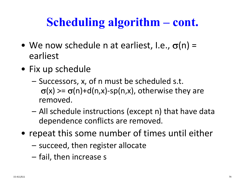## **Scheduling algorithm – cont.**

- We now schedule n at earliest, I.e.,  $\sigma$ (n) = earliest
- Fix up schedule
	- – Successors, x, of <sup>n</sup> must be scheduled s.t.  $\sigma(x)$  >=  $\sigma(n)+d(n,x)$ -sp(n,x), otherwise they are removed.
	- All schedule instructions (except n) that have data dependence conflicts are removed.
- repeat this some number of times until either
	- –succeed, then register allocate
	- –fail, then increase <sup>s</sup>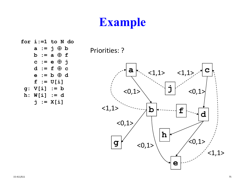## **Example**

**for i:=1 to N do**  $a := j \oplus b$ **b := a f c := e j d := f c e := b d f := U[i] g: V[i] := b h: W[i] := d j := X[i]**

Priorities: ?

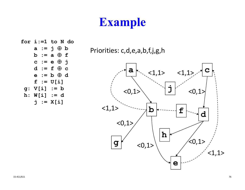## **Example**

```
for i:=1 to N do
   a := j \oplus bb := a  f
    c := e  j
    d := f  c
    e := b  d
   f := U[i]
g: V[i] := b
h: W[i] := d
   j := X[i]
```
Priorities: c,d,e,a,b,f,j,g,h

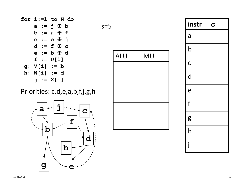### Priorities: c,d,e,a,b,f,j,g,h





| instr        | $\sigma$ |
|--------------|----------|
| a            |          |
| $\mathsf b$  |          |
| $\mathsf{C}$ |          |
| d            |          |
| e            |          |
| f            |          |
| g            |          |
| h            |          |
| j            |          |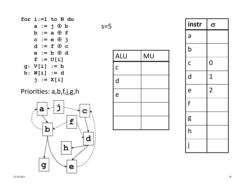### Priorities: a,b,f,j,g,h



| $s=5$ |                |           |
|-------|----------------|-----------|
|       | <b>ALU</b>     | <b>MU</b> |
|       | $\overline{C}$ |           |
|       | d              |           |
|       | e              |           |
|       |                |           |
|       |                |           |

| instr                   | $\sigma$       |
|-------------------------|----------------|
| a                       |                |
| $\overline{\mathsf{b}}$ |                |
| $\mathsf C$             | $\overline{0}$ |
| d                       | $\mathbf 1$    |
| e                       | $\overline{2}$ |
| f                       |                |
| g                       |                |
| h                       |                |
| j                       |                |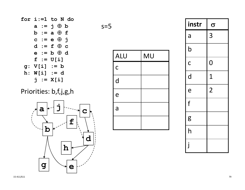#### Priorities: b,f,j,g,h



| $s=5$ |              |    |
|-------|--------------|----|
|       | ALU          | MU |
|       | $\mathsf{C}$ |    |
|       | d            |    |
|       | e            |    |
|       | a            |    |
|       |              |    |

| instr                   | $\sigma$       |
|-------------------------|----------------|
| a                       | 3              |
| $\overline{\mathsf{b}}$ |                |
| $\mathsf{C}$            | $\overline{0}$ |
| d                       | $\mathbf 1$    |
| e                       | $\overline{2}$ |
| $\mathsf{f}$            |                |
| g                       |                |
| h                       |                |
| j                       |                |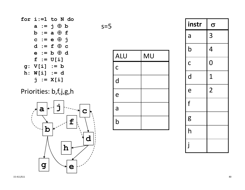#### Priorities: b,f,j,g,h



$$
s = 5
$$

| <b>ALU</b>                | <b>MU</b> |
|---------------------------|-----------|
| $\mathsf C$               |           |
| d                         |           |
| e                         |           |
| a                         |           |
| $\boldsymbol{\mathsf{b}}$ |           |

| instr                   | $\sigma$       |
|-------------------------|----------------|
| a                       | 3              |
| $\overline{\mathsf{b}}$ | 4              |
| $\mathsf{C}$            | $\overline{0}$ |
| d                       | $\mathbf 1$    |
| e                       | $\overline{2}$ |
| f                       |                |
| g                       |                |
| h                       |                |
| j                       |                |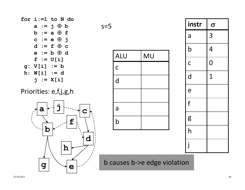

for  $i := 1$  to N do

 $a := j \oplus b$ 



$$
s = 5
$$





b causes b->e edge violation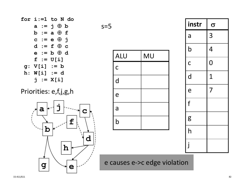

#### Priorities: e,f,j,g,h



$$
s = 5
$$





e causes e->c edge violation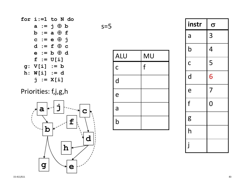

#### Priorities: f,j,g,h



 $s=5$ 

| <b>ALU</b>   | <b>MU</b> |
|--------------|-----------|
| $\mathsf{C}$ | f         |
| d            |           |
| e            |           |
| a            |           |
| $\mathsf b$  |           |

| instr                   | $\sigma$       |
|-------------------------|----------------|
| a                       | 3              |
| $\overline{\mathsf{b}}$ | $\overline{4}$ |
| $\overline{C}$          | 5              |
| d                       | 6              |
| e                       | $\overline{7}$ |
| f                       | $\overline{0}$ |
| g                       |                |
|                         |                |
| j                       |                |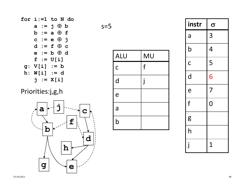

#### Priorities:j,g,h



| ×<br>× | I<br>and the control of |
|--------|-------------------------|
|--------|-------------------------|



| instr                   | $\sigma$       |
|-------------------------|----------------|
| a                       | 3              |
| $\overline{\mathsf{b}}$ | $\overline{4}$ |
| $\mathsf{C}$            | 5              |
| d                       | 6              |
| e                       | $\overline{7}$ |
| f                       | $\overline{0}$ |
| g                       |                |
| h                       |                |
| j                       | $\overline{1}$ |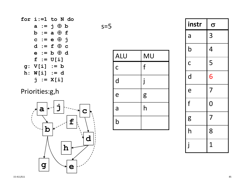

#### Priorities:g,h



|  | and the control of |
|--|--------------------|
|  |                    |



| instr                   | $\sigma$       |
|-------------------------|----------------|
| a                       | 3              |
| $\overline{\mathsf{b}}$ | 4              |
| $\overline{\mathsf{C}}$ | 5              |
| d                       | 6              |
| e                       | $\overline{7}$ |
| f                       | $\overline{0}$ |
| g                       | $\overline{7}$ |
| h                       | 8              |
| $\mathbf{j}$            | $\overline{1}$ |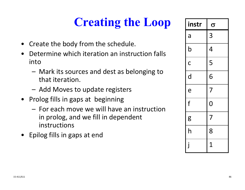# **Creating the Loop**

- Create the body from the schedule.
- $\bullet$  Determine which iteration an instruction falls into
	- Mark its sources and dest as belonging to that iteration.
	- Add Moves to update registers
- Prolog fills in gaps at beginning
	- For each move we will have an instruction in prolog, and we fill in dependent instructions
- Epilog fills in gaps at end

| instr          | $\sigma$       |
|----------------|----------------|
| a              | $\overline{3}$ |
| $\overline{b}$ | $\overline{4}$ |
| $\overline{C}$ | 5              |
| d              | 6              |
| e              | $\overline{7}$ |
| f              | $\overline{0}$ |
| g              | $\overline{7}$ |
| h              | 8              |
| j              | $\overline{1}$ |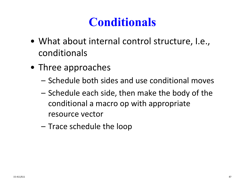## **Conditionals**

- What about internal control structure, I.e., conditionals
- Three approaches
	- Schedule both sides and use conditional moves
	- Schedule each side, then make the body of the conditional a macro op with appropriate resource vector
	- Trace schedule the loop